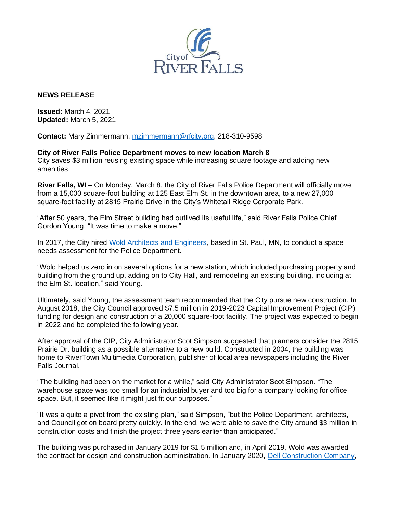

## **NEWS RELEASE**

**Issued:** March 4, 2021 **Updated:** March 5, 2021

**Contact:** Mary Zimmermann, [mzimmermann@rfcity.org,](mailto:mzimmermann@rfcity.org) 218-310-9598

**City of River Falls Police Department moves to new location March 8** City saves \$3 million reusing existing space while increasing square footage and adding new amenities

**River Falls, WI –** On Monday, March 8, the City of River Falls Police Department will officially move from a 15,000 square-foot building at 125 East Elm St. in the downtown area, to a new 27,000 square-foot facility at 2815 Prairie Drive in the City's Whitetail Ridge Corporate Park.

"After 50 years, the Elm Street building had outlived its useful life," said River Falls Police Chief Gordon Young. "It was time to make a move."

In 2017, the City hired [Wold Architects and Engineers,](https://www.woldae.com/) based in St. Paul, MN, to conduct a space needs assessment for the Police Department.

"Wold helped us zero in on several options for a new station, which included purchasing property and building from the ground up, adding on to City Hall, and remodeling an existing building, including at the Elm St. location," said Young.

Ultimately, said Young, the assessment team recommended that the City pursue new construction. In August 2018, the City Council approved \$7.5 million in 2019-2023 Capital Improvement Project (CIP) funding for design and construction of a 20,000 square-foot facility. The project was expected to begin in 2022 and be completed the following year.

After approval of the CIP, City Administrator Scot Simpson suggested that planners consider the 2815 Prairie Dr. building as a possible alternative to a new build. Constructed in 2004, the building was home to RiverTown Multimedia Corporation, publisher of local area newspapers including the River Falls Journal.

"The building had been on the market for a while," said City Administrator Scot Simpson. "The warehouse space was too small for an industrial buyer and too big for a company looking for office space. But, it seemed like it might just fit our purposes."

"It was a quite a pivot from the existing plan," said Simpson, "but the Police Department, architects, and Council got on board pretty quickly. In the end, we were able to save the City around \$3 million in construction costs and finish the project three years earlier than anticipated."

The building was purchased in January 2019 for \$1.5 million and, in April 2019, Wold was awarded the contract for design and construction administration. In January 2020, [Dell Construction Company,](http://dellconstruction.com/)